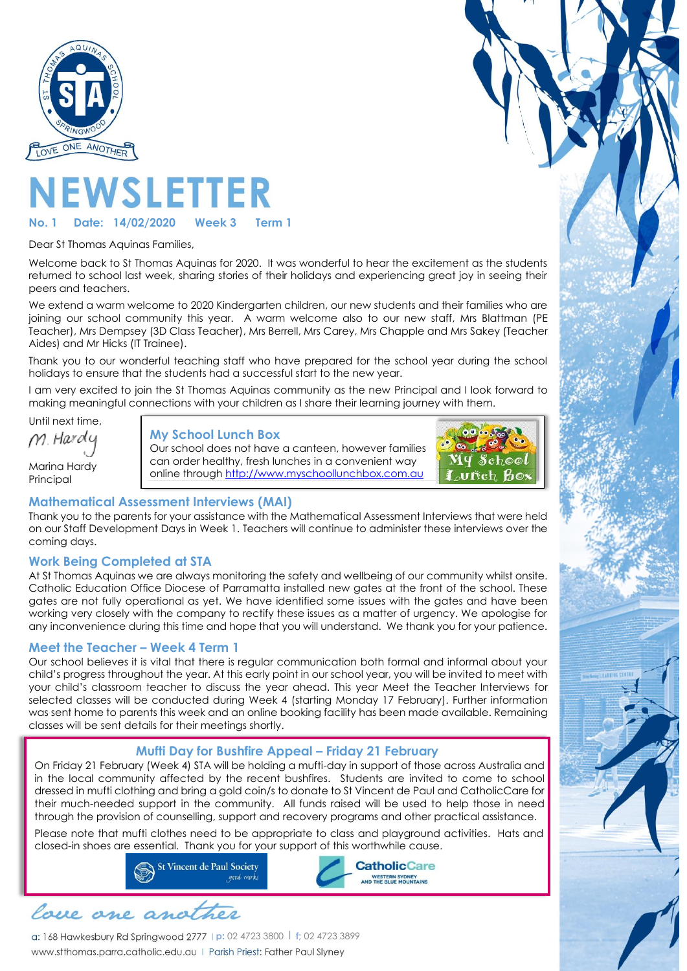

# **IEWSLETTER**

#### **No. 1 Date: 14/02/2020 Week 3 Term 1**

Dear St Thomas Aquinas Families,

Welcome back to St Thomas Aquinas for 2020. It was wonderful to hear the excitement as the students returned to school last week, sharing stories of their holidays and experiencing great joy in seeing their peers and teachers.

We extend a warm welcome to 2020 Kindergarten children, our new students and their families who are joining our school community this year. A warm welcome also to our new staff, Mrs Blattman (PE Teacher), Mrs Dempsey (3D Class Teacher), Mrs Berrell, Mrs Carey, Mrs Chapple and Mrs Sakey (Teacher Aides) and Mr Hicks (IT Trainee).

Thank you to our wonderful teaching staff who have prepared for the school year during the school holidays to ensure that the students had a successful start to the new year.

I am very excited to join the St Thomas Aquinas community as the new Principal and I look forward to making meaningful connections with your children as I share their learning journey with them.

Until next time, M. Hardy Marina Hardy Principal

#### **My School Lunch Box**

Our school does not have a canteen, however families can order healthy, fresh lunches in a convenient way online through [http://www.myschoollunchbox.com.au](http://www.myschoollunchbox.com.au/)



## **Mathematical Assessment Interviews (MAI)**

Thank you to the parents for your assistance with the Mathematical Assessment Interviews that were held on our Staff Development Days in Week 1. Teachers will continue to administer these interviews over the coming days.

#### **Work Being Completed at STA**

At St Thomas Aquinas we are always monitoring the safety and wellbeing of our community whilst onsite. Catholic Education Office Diocese of Parramatta installed new gates at the front of the school. These gates are not fully operational as yet. We have identified some issues with the gates and have been working very closely with the company to rectify these issues as a matter of urgency. We apologise for any inconvenience during this time and hope that you will understand. We thank you for your patience.

## **Meet the Teacher – Week 4 Term 1**

Our school believes it is vital that there is regular communication both formal and informal about your child's progress throughout the year. At this early point in our school year, you will be invited to meet with your child's classroom teacher to discuss the year ahead. This year Meet the Teacher Interviews for selected classes will be conducted during Week 4 (starting Monday 17 February). Further information was sent home to parents this week and an online booking facility has been made available. Remaining classes will be sent details for their meetings shortly.

## **Mufti Day for Bushfire Appeal – Friday 21 February**

On Friday 21 February (Week 4) STA will be holding a mufti-day in support of those across Australia and in the local community affected by the recent bushfires. Students are invited to come to school dressed in mufti clothing and bring a gold coin/s to donate to St Vincent de Paul and CatholicCare for their much-needed support in the community. All funds raised will be used to help those in need through the provision of counselling, support and recovery programs and other practical assistance.

Please note that mufti clothes need to be appropriate to class and playground activities. Hats and closed-in shoes are essential. Thank you for your support of this worthwhile cause.





**p:** 02 4723 3800 l **f;** 02 4723 3899 www.stthomas.parra.catholic.edu.au | Parish Priest: Father Paul Slyney

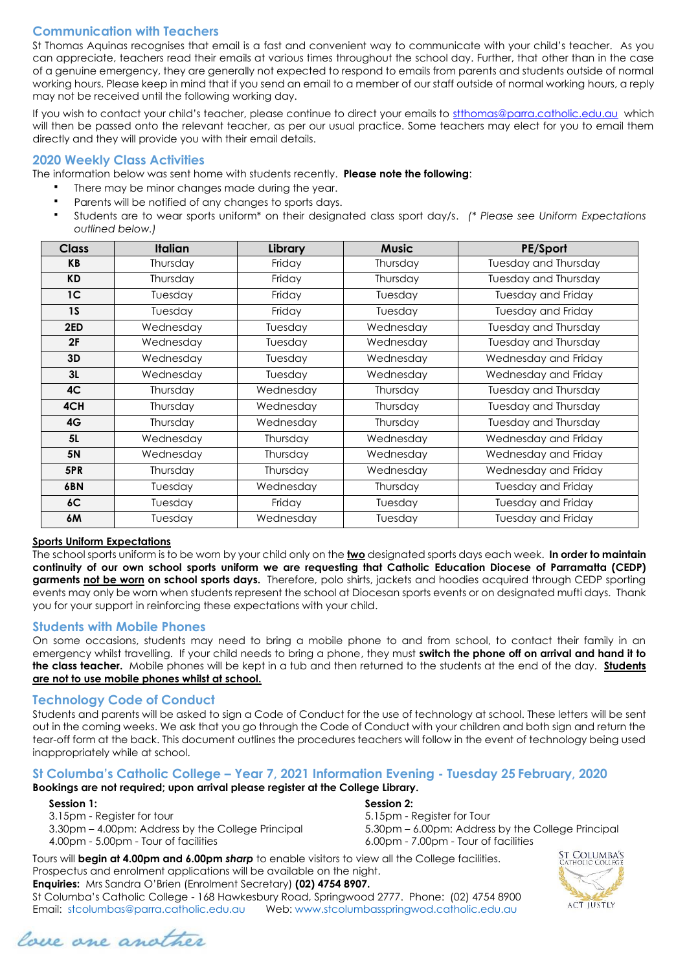## **Communication with Teachers**

St Thomas Aquinas recognises that email is a fast and convenient way to communicate with your child's teacher. As you can appreciate, teachers read their emails at various times throughout the school day. Further, that other than in the case of a genuine emergency, they are generally not expected to respond to emails from parents and students outside of normal working hours. Please keep in mind that if you send an email to a member of our staff outside of normal working hours, a reply may not be received until the following working day.

If you wish to contact your child's teacher, please continue to direct your emails to [stthomas@parra.catholic.edu.au](mailto:stthomas@parra.catholic.edu.au) which will then be passed onto the relevant teacher, as per our usual practice. Some teachers may elect for you to email them directly and they will provide you with their email details.

#### **2020 Weekly Class Activities**

The information below was sent home with students recently. **Please note the following**:

- There may be minor changes made during the year.
- Parents will be notified of any changes to sports days.
- Students are to wear sports uniform\* on their designated class sport day/s.*(\* Please see Uniform Expectations outlined below.)*

| <b>Class</b>   | <b>Italian</b> | Library   | <b>Music</b> | PE/Sport                    |
|----------------|----------------|-----------|--------------|-----------------------------|
| KB             | Thursday       | Friday    | Thursday     | <b>Tuesday and Thursday</b> |
| <b>KD</b>      | Thursday       | Friday    | Thursday     | Tuesday and Thursday        |
| 1 <sup>C</sup> | Tuesday        | Friday    | Tuesday      | Tuesday and Friday          |
| 1 <sub>S</sub> | Tuesday        | Friday    | Tuesday      | <b>Tuesday and Friday</b>   |
| 2ED            | Wednesday      | Tuesday   | Wednesday    | Tuesday and Thursday        |
| 2F             | Wednesday      | Tuesday   | Wednesday    | Tuesday and Thursday        |
| 3D             | Wednesday      | Tuesday   | Wednesday    | Wednesday and Friday        |
| 3L             | Wednesday      | Tuesday   | Wednesday    | Wednesday and Friday        |
| 4 <sup>C</sup> | Thursday       | Wednesday | Thursday     | Tuesday and Thursday        |
| 4CH            | Thursday       | Wednesday | Thursday     | Tuesday and Thursday        |
| 4G             | Thursday       | Wednesday | Thursday     | Tuesday and Thursday        |
| 5L             | Wednesday      | Thursday  | Wednesday    | Wednesday and Friday        |
| <b>5N</b>      | Wednesday      | Thursday  | Wednesday    | Wednesday and Friday        |
| 5PR            | Thursday       | Thursday  | Wednesday    | Wednesday and Friday        |
| 6BN            | Tuesday        | Wednesday | Thursday     | Tuesday and Friday          |
| 6C             | Tuesday        | Friday    | Tuesday      | Tuesday and Friday          |
| 6M             | Tuesday        | Wednesday | Tuesday      | Tuesday and Friday          |

#### **Sports Uniform Expectations**

The school sports uniform is to be worn by your child only on the **two** designated sports days each week. **In order to maintain continuity of our own school sports uniform we are requesting that Catholic Education Diocese of Parramatta (CEDP) garments not be worn on school sports days.** Therefore, polo shirts, jackets and hoodies acquired through CEDP sporting events may only be worn when students represent the school at Diocesan sports events or on designated mufti days. Thank you for your support in reinforcing these expectations with your child.

#### **Students with Mobile Phones**

On some occasions, students may need to bring a mobile phone to and from school, to contact their family in an emergency whilst travelling. If your child needs to bring a phone, they must **switch the phone off on arrival and hand it to the class teacher.** Mobile phones will be kept in a tub and then returned to the students at the end of the day. **Students are not to use mobile phones whilst at school.** 

#### **Technology Code of Conduct**

Students and parents will be asked to sign a Code of Conduct for the use of technology at school. These letters will be sent out in the coming weeks. We ask that you go through the Code of Conduct with your children and both sign and return the tear-off form at the back. This document outlines the procedures teachers will follow in the event of technology being used inappropriately while at school.

#### **St Columba's Catholic College – Year 7, 2021 Information Evening - Tuesday 25 February, 2020**

#### **Bookings are not required; upon arrival please register at the College Library.**

#### **Session 1:** Session 2: **Session 2: Session 2: Session 2: Session 2: Session 2: Session 2: Session 2: Session 2: Session 2: Session 2: Session 2: Session 2: Session 2: Session 2: Session 2: Se**

3.15pm - Register for tour 5.15pm - Register for Tour

- 3.30pm 4.00pm: Address by the College Principal 5.30pm 6.00pm: Address by the College Principal
- 
- 4.00pm 5.00pm Tour of facilities 6.00pm 7.00pm Tour of facilities

Tours will **begin at 4.00pm and 6.00pm** *sharp* to enable visitors to view all the College facilities. Prospectus and enrolment applications will be available on the night.

**Enquiries:** Mrs Sandra O'Brien (Enrolment Secretary) **(02) 4754 8907.**

St Columba's Catholic College - 168 Hawkesbury Road, Springwood 2777. Phone: (02) 4754 8900 Email: stcolumbas@parra.catholic.edu.au Web: www.stcolumbasspringwod.catholic.edu.au



love one another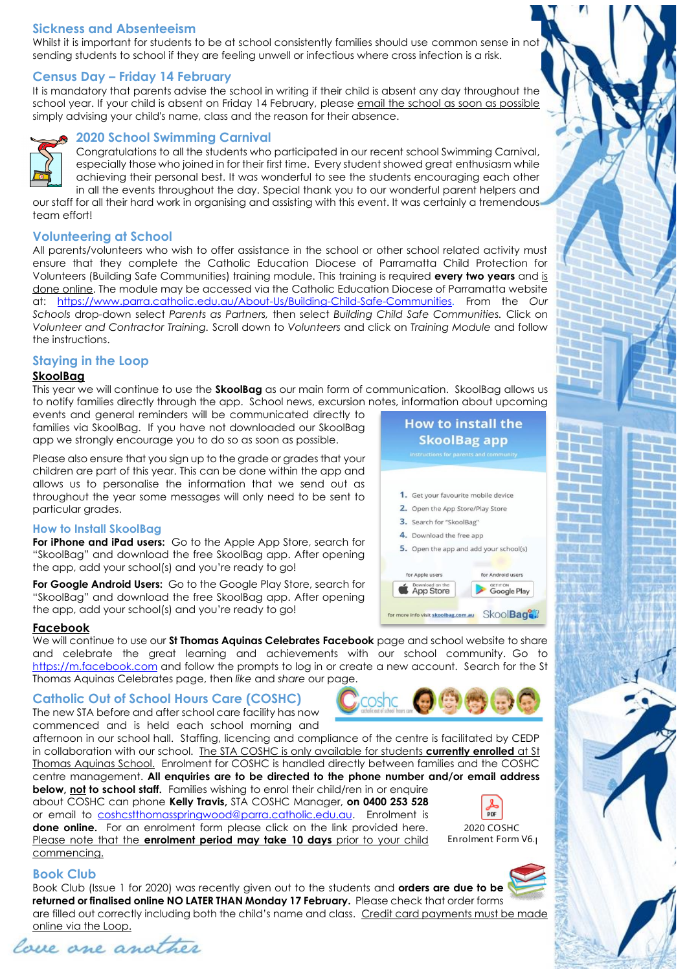## **Sickness and Absenteeism**

Whilst it is important for students to be at school consistently families should use common sense in not sending students to school if they are feeling unwell or infectious where cross infection is a risk.

#### **Census Day – Friday 14 February**

It is mandatory that parents advise the school in writing if their child is absent any day throughout the school year. If your child is absent on Friday 14 February, please email the school as soon as possible simply advising your child's name, class and the reason for their absence.



#### **2020 School Swimming Carnival**

Congratulations to all the students who participated in our recent school Swimming Carnival, especially those who joined in for their first time. Every student showed great enthusiasm while achieving their personal best. It was wonderful to see the students encouraging each other in all the events throughout the day. Special thank you to our wonderful parent helpers and

our staff for all their hard work in organising and assisting with this event. It was certainly a tremendous team effort!

#### **Volunteering at School**

All parents/volunteers who wish to offer assistance in the school or other school related activity must ensure that they complete the Catholic Education Diocese of Parramatta Child Protection for Volunteers (Building Safe Communities) training module. This training is required **every two years** and is done online. The module may be accessed via the Catholic Education Diocese of Parramatta website at: [https://www.parra.catholic.edu.au/About-Us/Building-Child-Safe-Communities.](https://www.parra.catholic.edu.au/About-Us/Building-Child-Safe-Communities) From the *Our Schools* drop-down select *Parents as Partners,* then select *Building Child Safe Communities.* Click on *Volunteer and Contractor Training.* Scroll down to *Volunteers* and click on *Training Module* and follow the instructions.

#### **Staying in the Loop**

#### **SkoolBag**

This year we will continue to use the **SkoolBag** as our main form of communication. SkoolBag allows us to notify families directly through the app. School news, excursion notes, information about upcoming

events and general reminders will be communicated directly to families via SkoolBag. If you have not downloaded our SkoolBag app we strongly encourage you to do so as soon as possible.

Please also ensure that you sign up to the grade or grades that your children are part of this year. This can be done within the app and allows us to personalise the information that we send out as throughout the year some messages will only need to be sent to particular grades.

#### **How to Install SkoolBag**

**For iPhone and iPad users:** Go to the Apple App Store, search for "SkoolBag" and download the free SkoolBag app. After opening the app, add your school(s) and you're ready to go!

**For Google Android Users:** Go to the Google Play Store, search for "SkoolBag" and download the free SkoolBag app. After opening the app, add your school(s) and you're ready to go!

#### **Facebook**

We will continue to use our **St Thomas Aquinas Celebrates Facebook** page and school website to share and celebrate the great learning and achievements with our school community. Go to [https://m.facebook.com](https://m.facebook.com/) and follow the prompts to log in or create a new account. Search for the St Thomas Aquinas Celebrates page, then *like* and *share* our page.

coshc

## **Catholic Out of School Hours Care (COSHC)**

The new STA before and after school care facility has now commenced and is held each school morning and

afternoon in our school hall. Staffing, licencing and compliance of the centre is facilitated by CEDP in collaboration with our school. The STA COSHC is only available for students **currently enrolled** at St Thomas Aquinas School. Enrolment for COSHC is handled directly between families and the COSHC centre management. **All enquiries are to be directed to the phone number and/or email address** 

**below, not to school staff.** Families wishing to enrol their child/ren in or enquire about COSHC can phone **Kelly Travis,** STA COSHC Manager, **on 0400 253 528** or email to [coshcstthomasspringwood@parra.catholic.edu.au.](mailto:coshcstthomasspringwood@parra.catholic.edu.au) Enrolment is **done online.** For an enrolment form please click on the link provided here. Please note that the **enrolment period may take 10 days** prior to your child commencing.



#### 2020 COSHC Enrolment Form V6.



Book Club (Issue 1 for 2020) was recently given out to the students and **orders are due to be returned or finalised online NO LATER THAN Monday 17 February.** Please check that order forms are filled out correctly including both the child's name and class. Credit card payments must be made online via the Loop.



30 **The Second Second THE** n

a po

a m

腹痛